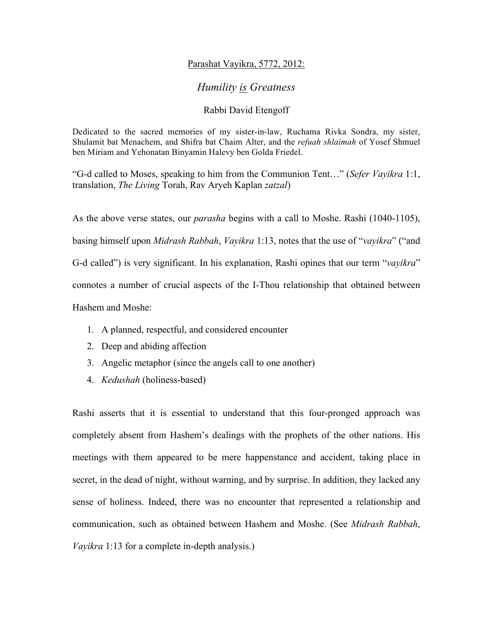## Parashat Vayikra, 5772, 2012:

## *Humility is Greatness*

## Rabbi David Etengoff

Dedicated to the sacred memories of my sister-in-law, Ruchama Rivka Sondra, my sister, Shulamit bat Menachem, and Shifra bat Chaim Alter, and the *refuah shlaimah* of Yosef Shmuel ben Miriam and Yehonatan Binyamin Halevy ben Golda Friedel.

"G-d called to Moses, speaking to him from the Communion Tent…" (*Sefer Vayikra* 1:1, translation, *The Living* Torah, Rav Aryeh Kaplan *zatzal*)

As the above verse states, our *parasha* begins with a call to Moshe. Rashi (1040-1105), basing himself upon *Midrash Rabbah*, *Vayikra* 1:13, notes that the use of "*vayikra*" ("and G-d called") is very significant. In his explanation, Rashi opines that our term "*vayikra*" connotes a number of crucial aspects of the I-Thou relationship that obtained between Hashem and Moshe:

- 1. A planned, respectful, and considered encounter
- 2. Deep and abiding affection
- 3. Angelic metaphor (since the angels call to one another)
- 4. *Kedushah* (holiness-based)

Rashi asserts that it is essential to understand that this four-pronged approach was completely absent from Hashem's dealings with the prophets of the other nations. His meetings with them appeared to be mere happenstance and accident, taking place in secret, in the dead of night, without warning, and by surprise. In addition, they lacked any sense of holiness. Indeed, there was no encounter that represented a relationship and communication, such as obtained between Hashem and Moshe. (See *Midrash Rabbah*, *Vayikra* 1:13 for a complete in-depth analysis.)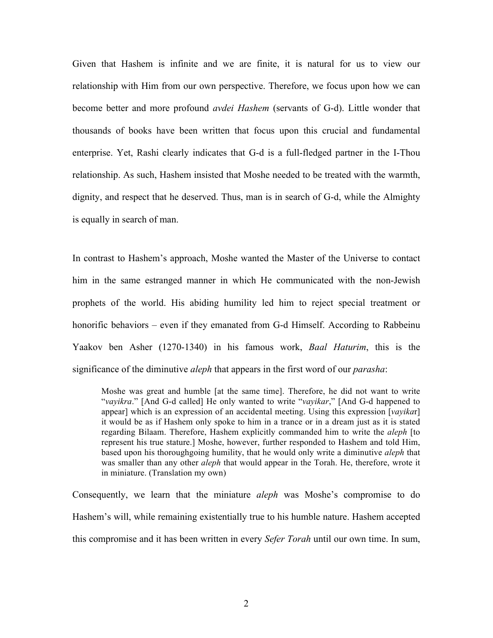Given that Hashem is infinite and we are finite, it is natural for us to view our relationship with Him from our own perspective. Therefore, we focus upon how we can become better and more profound *avdei Hashem* (servants of G-d). Little wonder that thousands of books have been written that focus upon this crucial and fundamental enterprise. Yet, Rashi clearly indicates that G-d is a full-fledged partner in the I-Thou relationship. As such, Hashem insisted that Moshe needed to be treated with the warmth, dignity, and respect that he deserved. Thus, man is in search of G-d, while the Almighty is equally in search of man.

In contrast to Hashem's approach, Moshe wanted the Master of the Universe to contact him in the same estranged manner in which He communicated with the non-Jewish prophets of the world. His abiding humility led him to reject special treatment or honorific behaviors – even if they emanated from G-d Himself. According to Rabbeinu Yaakov ben Asher (1270-1340) in his famous work, *Baal Haturim*, this is the significance of the diminutive *aleph* that appears in the first word of our *parasha*:

Moshe was great and humble [at the same time]. Therefore, he did not want to write "*vayikra*." [And G-d called] He only wanted to write "*vayikar*," [And G-d happened to appear] which is an expression of an accidental meeting. Using this expression [*vayika*r] it would be as if Hashem only spoke to him in a trance or in a dream just as it is stated regarding Bilaam. Therefore, Hashem explicitly commanded him to write the *aleph* [to represent his true stature.] Moshe, however, further responded to Hashem and told Him, based upon his thoroughgoing humility, that he would only write a diminutive *aleph* that was smaller than any other *aleph* that would appear in the Torah. He, therefore, wrote it in miniature. (Translation my own)

Consequently, we learn that the miniature *aleph* was Moshe's compromise to do Hashem's will, while remaining existentially true to his humble nature. Hashem accepted this compromise and it has been written in every *Sefer Torah* until our own time. In sum,